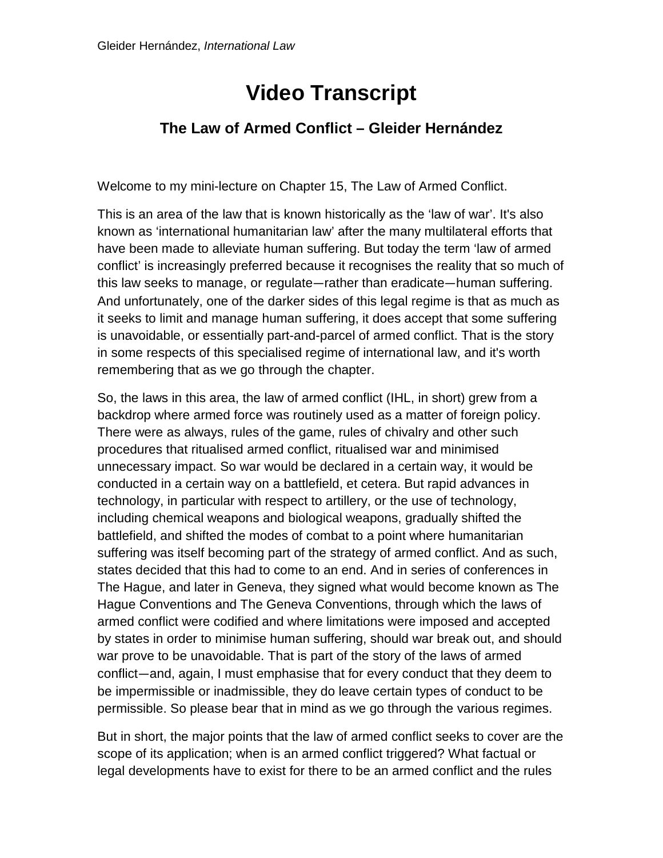## **Video Transcript**

## **The Law of Armed Conflict – Gleider Hernández**

Welcome to my mini-lecture on Chapter 15, The Law of Armed Conflict.

This is an area of the law that is known historically as the 'law of war'. It's also known as 'international humanitarian law' after the many multilateral efforts that have been made to alleviate human suffering. But today the term 'law of armed conflict' is increasingly preferred because it recognises the reality that so much of this law seeks to manage, or regulate—rather than eradicate—human suffering. And unfortunately, one of the darker sides of this legal regime is that as much as it seeks to limit and manage human suffering, it does accept that some suffering is unavoidable, or essentially part-and-parcel of armed conflict. That is the story in some respects of this specialised regime of international law, and it's worth remembering that as we go through the chapter.

So, the laws in this area, the law of armed conflict (IHL, in short) grew from a backdrop where armed force was routinely used as a matter of foreign policy. There were as always, rules of the game, rules of chivalry and other such procedures that ritualised armed conflict, ritualised war and minimised unnecessary impact. So war would be declared in a certain way, it would be conducted in a certain way on a battlefield, et cetera. But rapid advances in technology, in particular with respect to artillery, or the use of technology, including chemical weapons and biological weapons, gradually shifted the battlefield, and shifted the modes of combat to a point where humanitarian suffering was itself becoming part of the strategy of armed conflict. And as such, states decided that this had to come to an end. And in series of conferences in The Hague, and later in Geneva, they signed what would become known as The Hague Conventions and The Geneva Conventions, through which the laws of armed conflict were codified and where limitations were imposed and accepted by states in order to minimise human suffering, should war break out, and should war prove to be unavoidable. That is part of the story of the laws of armed conflict—and, again, I must emphasise that for every conduct that they deem to be impermissible or inadmissible, they do leave certain types of conduct to be permissible. So please bear that in mind as we go through the various regimes.

But in short, the major points that the law of armed conflict seeks to cover are the scope of its application; when is an armed conflict triggered? What factual or legal developments have to exist for there to be an armed conflict and the rules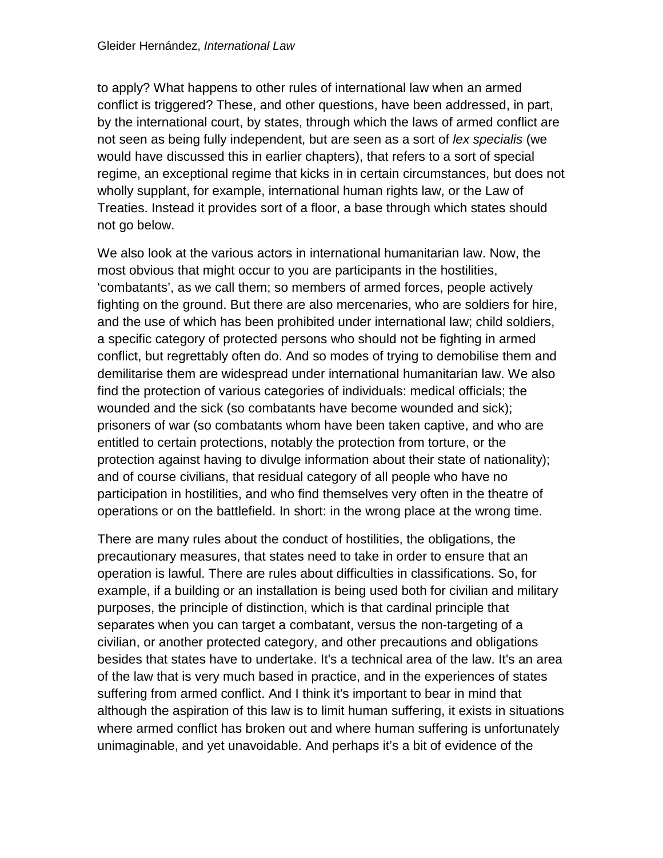to apply? What happens to other rules of international law when an armed conflict is triggered? These, and other questions, have been addressed, in part, by the international court, by states, through which the laws of armed conflict are not seen as being fully independent, but are seen as a sort of *lex specialis* (we would have discussed this in earlier chapters), that refers to a sort of special regime, an exceptional regime that kicks in in certain circumstances, but does not wholly supplant, for example, international human rights law, or the Law of Treaties. Instead it provides sort of a floor, a base through which states should not go below.

We also look at the various actors in international humanitarian law. Now, the most obvious that might occur to you are participants in the hostilities, 'combatants', as we call them; so members of armed forces, people actively fighting on the ground. But there are also mercenaries, who are soldiers for hire, and the use of which has been prohibited under international law; child soldiers, a specific category of protected persons who should not be fighting in armed conflict, but regrettably often do. And so modes of trying to demobilise them and demilitarise them are widespread under international humanitarian law. We also find the protection of various categories of individuals: medical officials; the wounded and the sick (so combatants have become wounded and sick); prisoners of war (so combatants whom have been taken captive, and who are entitled to certain protections, notably the protection from torture, or the protection against having to divulge information about their state of nationality); and of course civilians, that residual category of all people who have no participation in hostilities, and who find themselves very often in the theatre of operations or on the battlefield. In short: in the wrong place at the wrong time.

There are many rules about the conduct of hostilities, the obligations, the precautionary measures, that states need to take in order to ensure that an operation is lawful. There are rules about difficulties in classifications. So, for example, if a building or an installation is being used both for civilian and military purposes, the principle of distinction, which is that cardinal principle that separates when you can target a combatant, versus the non-targeting of a civilian, or another protected category, and other precautions and obligations besides that states have to undertake. It's a technical area of the law. It's an area of the law that is very much based in practice, and in the experiences of states suffering from armed conflict. And I think it's important to bear in mind that although the aspiration of this law is to limit human suffering, it exists in situations where armed conflict has broken out and where human suffering is unfortunately unimaginable, and yet unavoidable. And perhaps it's a bit of evidence of the